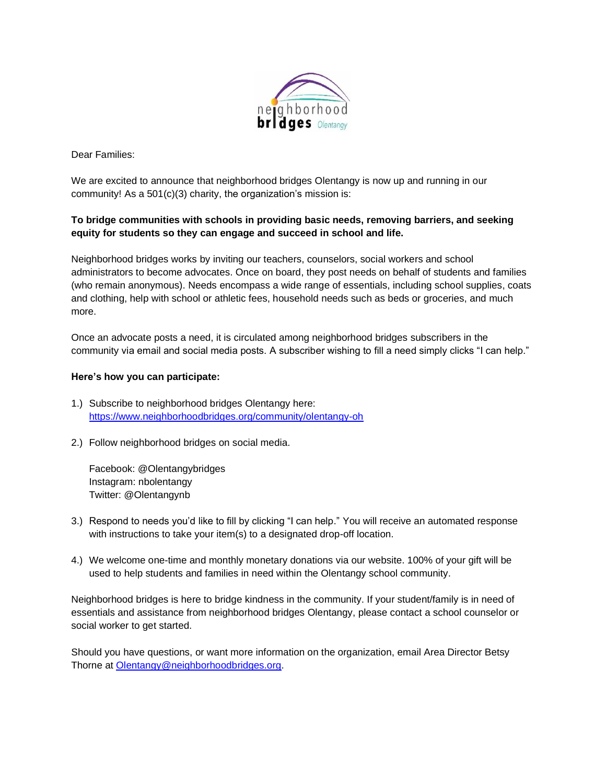

Dear Families:

We are excited to announce that neighborhood bridges Olentangy is now up and running in our community! As a 501(c)(3) charity, the organization's mission is:

## **To bridge communities with schools in providing basic needs, removing barriers, and seeking equity for students so they can engage and succeed in school and life.**

Neighborhood bridges works by inviting our teachers, counselors, social workers and school administrators to become advocates. Once on board, they post needs on behalf of students and families (who remain anonymous). Needs encompass a wide range of essentials, including school supplies, coats and clothing, help with school or athletic fees, household needs such as beds or groceries, and much more.

Once an advocate posts a need, it is circulated among neighborhood bridges subscribers in the community via email and social media posts. A subscriber wishing to fill a need simply clicks "I can help."

## **Here's how you can participate:**

- 1.) Subscribe to neighborhood bridges Olentangy here: <https://www.neighborhoodbridges.org/community/olentangy-oh>
- 2.) Follow neighborhood bridges on social media.

Facebook: @Olentangybridges Instagram: nbolentangy Twitter: @Olentangynb

- 3.) Respond to needs you'd like to fill by clicking "I can help." You will receive an automated response with instructions to take your item(s) to a designated drop-off location.
- 4.) We welcome one-time and monthly monetary donations via our website. 100% of your gift will be used to help students and families in need within the Olentangy school community.

Neighborhood bridges is here to bridge kindness in the community. If your student/family is in need of essentials and assistance from neighborhood bridges Olentangy, please contact a school counselor or social worker to get started.

Should you have questions, or want more information on the organization, email Area Director Betsy Thorne at [Olentangy@neighborhoodbridges.org.](mailto:Olentangy@neighborhoodbridges.org)